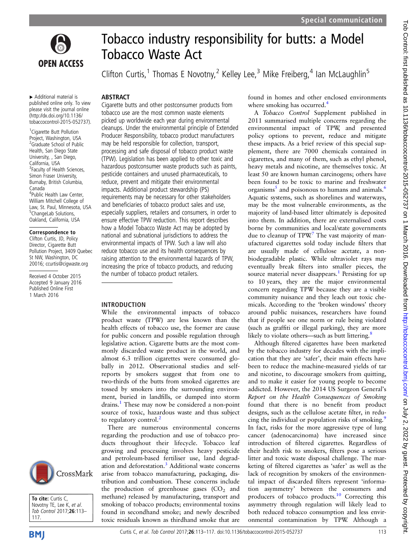

▸ Additional material is published online only. To view please visit the journal online [\(http://dx.doi.org/10.1136/](http://dx.doi.org/10.1136/tobaccocontrol-2015-052737) [tobaccocontrol-2015-052737\)](http://dx.doi.org/10.1136/tobaccocontrol-2015-052737).

<sup>1</sup> Cigarette Butt Pollution Project, Washington, USA <sup>2</sup>Graduate School of Public Health, San Diego State University, , San Diego, California, USA <sup>3</sup> Faculty of Health Sciences, Simon Fraser University, Burnaby, British Columbia, Canada 4 Public Health Law Center, William Mitchell College of Law, St. Paul, Minnesota, USA <sup>5</sup>ChangeLab Solutions, Oakland, California, USA

#### Correspondence to

Clifton Curtis, JD, Policy Director, Cigarette Butt Pollution Project, 3409 Quebec St NW, Washington, DC 20016; ccurtis@cigwaste.org

Received 4 October 2015 Accepted 9 January 2016 Published Online First 1 March 2016





# Tobacco industry responsibility for butts: a Model Tobacco Waste Act

Clifton Curtis,<sup>1</sup> Thomas E Novotny,<sup>2</sup> Kelley Lee,<sup>3</sup> Mike Freiberg,<sup>4</sup> Ian McLaughlin<sup>5</sup>

### **ABSTRACT**

Cigarette butts and other postconsumer products from tobacco use are the most common waste elements picked up worldwide each year during environmental cleanups. Under the environmental principle of Extended Producer Responsibility, tobacco product manufacturers may be held responsible for collection, transport, processing and safe disposal of tobacco product waste (TPW). Legislation has been applied to other toxic and hazardous postconsumer waste products such as paints, pesticide containers and unused pharmaceuticals, to reduce, prevent and mitigate their environmental impacts. Additional product stewardship (PS) requirements may be necessary for other stakeholders and beneficiaries of tobacco product sales and use, especially suppliers, retailers and consumers, in order to ensure effective TPW reduction. This report describes how a Model Tobacco Waste Act may be adopted by national and subnational jurisdictions to address the environmental impacts of TPW. Such a law will also reduce tobacco use and its health consequences by raising attention to the environmental hazards of TPW, increasing the price of tobacco products, and reducing the number of tobacco product retailers.

#### INTRODUCTION

While the environmental impacts of tobacco product waste (TPW) are less known than the health effects of tobacco use, the former are cause for public concern and possible regulation through legislative action. Cigarette butts are the most commonly discarded waste product in the world, and almost 6.3 trillion cigarettes were consumed globally in 2012. Observational studies and selfreports by smokers suggest that from one to two-thirds of the butts from smoked cigarettes are tossed by smokers into the surrounding environment, buried in landfills, or dumped into storm drains.[1](#page-3-0) These may now be considered a non-point source of toxic, hazardous waste and thus subject to regulatory control.<sup>[2](#page-3-0)</sup>

There are numerous environmental concerns regarding the production and use of tobacco products throughout their lifecycle. Tobacco leaf growing and processing involves heavy pesticide and petroleum-based fertiliser use, land degradation and deforestation.<sup>3</sup> Additional waste concerns arise from tobacco manufacturing, packaging, distribution and combustion. These concerns include the production of greenhouse gases  $(CO<sub>2</sub>)$  and methane) released by manufacturing, transport and smoking of tobacco products; environmental toxins found in secondhand smoke; and newly described toxic residuals known as thirdhand smoke that are

found in homes and other enclosed environments where smoking has occurred.<sup>4</sup>

A Tobacco Control Supplement published in 2011 summarised multiple concerns regarding the environmental impact of TPW, and presented policy options to prevent, reduce and mitigate these impacts. As a brief review of this special supplement, there are 7000 chemicals contained in cigarettes, and many of them, such as ethyl phenol, heavy metals and nicotine, are themselves toxic. At least 50 are known human carcinogens; others have been found to be toxic to marine and freshwater organisms $\frac{5}{9}$  $\frac{5}{9}$  $\frac{5}{9}$  and poisonous to humans and animals.<sup>[6](#page-3-0)</sup> Aquatic systems, such as shorelines and waterways, may be the most vulnerable environments, as the majority of land-based litter ultimately is deposited into them. In addition, there are externalised costs borne by communities and local/state governments due to cleanup of TPW.<sup>[7](#page-3-0)</sup> The vast majority of manufactured cigarettes sold today include filters that are usually made of cellulose acetate, a nonbiodegradable plastic. While ultraviolet rays may eventually break filters into smaller pieces, the source material never disappears.<sup>[1](#page-3-0)</sup> Persisting for up to 10 years, they are the major environmental concern regarding TPW because they are a visible community nuisance and they leach out toxic chemicals. According to the 'broken windows' theory around public nuisances, researchers have found that if people see one norm or rule being violated (such as graffiti or illegal parking), they are more likely to violate others—such as butt littering.<sup>[8](#page-3-0)</sup>

Although filtered cigarettes have been marketed by the tobacco industry for decades with the implication that they are 'safer', their main effects have been to reduce the machine-measured yields of tar and nicotine, to discourage smokers from quitting, and to make it easier for young people to become addicted. However, the 2014 US Surgeon General's Report on the Health Consequences of Smoking found that there is no benefit from product designs, such as the cellulose acetate filter, in redu-cing the individual or population risks of smoking.<sup>[9](#page-3-0)</sup> In fact, risks for the more aggressive type of lung cancer (adenocarcinoma) have increased since introduction of filtered cigarettes. Regardless of their health risk to smokers, filters pose a serious litter and toxic waste disposal challenge. The marketing of filtered cigarettes as 'safer' as well as the lack of recognition by smokers of the environmental impact of discarded filters represent 'information asymmetry' between the consumers and producers of tobacco products[.10](#page-3-0) Correcting this asymmetry through regulation will likely lead to both reduced tobacco consumption and less environmental contamination by TPW. Although a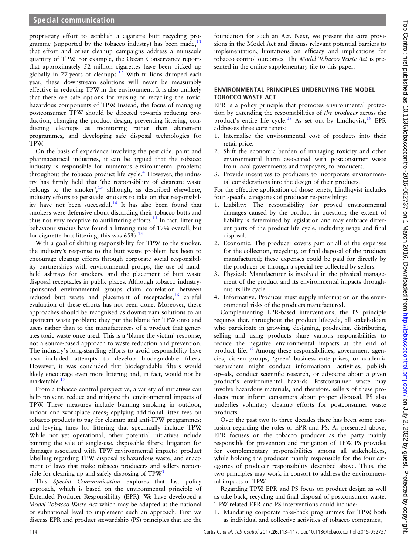# Special communication

proprietary effort to establish a cigarette butt recycling programme (supported by the tobacco industry) has been made, $^{11}$ that effort and other cleanup campaigns address a miniscule quantity of TPW. For example, the Ocean Conservancy reports that approximately 52 million cigarettes have been picked up globally in 27 years of cleanups.<sup>12</sup> With trillions dumped each year, these downstream solutions will never be measurably effective in reducing TPW in the environment. It is also unlikely that there are safe options for reusing or recycling the toxic, hazardous components of TPW. Instead, the focus of managing postconsumer TPW should be directed towards reducing production, changing the product design, preventing littering, conducting cleanups as monitoring rather than abatement programmes, and developing safe disposal technologies for TPW.

On the basis of experience involving the pesticide, paint and pharmaceutical industries, it can be argued that the tobacco industry is responsible for numerous environmental problems throughout the tobacco product life cycle. $4$  However, the industry has firmly held that 'the responsibility of cigarette waste belongs to the smoker', $^{13}$  $^{13}$  $^{13}$  although, as described elsewhere, industry efforts to persuade smokers to take on that responsibil-ity have not been successful.<sup>[14](#page-3-0)</sup> It has also been found that smokers were defensive about discarding their tobacco butts and thus not very receptive to antilittering efforts.<sup>11</sup> In fact, littering behaviour studies have found a littering rate of 17% overall, but for cigarette butt littering, this was  $65\%$ .<sup>1</sup>

With a goal of shifting responsibility for TPW to the smoker, the industry's response to the butt waste problem has been to encourage cleanup efforts through corporate social responsibility partnerships with environmental groups, the use of handheld ashtrays for smokers, and the placement of butt waste disposal receptacles in public places. Although tobacco industrysponsored environmental groups claim correlation between reduced butt waste and placement of receptacles,<sup>16</sup> careful evaluation of these efforts has not been done. Moreover, these approaches should be recognised as downstream solutions to an upstream waste problem; they put the blame for TPW onto end users rather than to the manufacturers of a product that generates toxic waste once used. This is a 'blame the victim' response, not a source-based approach to waste reduction and prevention. The industry's long-standing efforts to avoid responsibility have also included attempts to develop biodegradable filters. However, it was concluded that biodegradable filters would likely encourage even more littering and, in fact, would not be marketable.<sup>1</sup>

From a tobacco control perspective, a variety of initiatives can help prevent, reduce and mitigate the environmental impacts of TPW. These measures include banning smoking in outdoor, indoor and workplace areas; applying additional litter fees on tobacco products to pay for cleanup and anti-TPW programmes; and levying fines for littering that specifically include TPW. While not yet operational, other potential initiatives include banning the sale of single-use, disposable filters; litigation for damages associated with TPW environmental impacts; product labelling regarding TPW disposal as hazardous waste; and enactment of laws that make tobacco producers and sellers respon-sible for cleaning up and safely disposing of TPW<sup>[1](#page-3-0)</sup>

This Special Communication explores that last policy approach, which is based on the environmental principle of Extended Producer Responsibility (EPR). We have developed a Model Tobacco Waste Act which may be adapted at the national or subnational level to implement such an approach. First we discuss EPR and product stewardship (PS) principles that are the

foundation for such an Act. Next, we present the core provisions in the Model Act and discuss relevant potential barriers to implementation, limitations on efficacy and implications for tobacco control outcomes. The Model Tobacco Waste Act is presented in the [online supplementary](http://dx.doi.org/10.1136/tobaccocontrol-2015-052737) file to this paper.

#### ENVIRONMENTAL PRINCIPLES UNDERLYING THE MODEL TOBACCO WASTE ACT

EPR is a policy principle that promotes environmental protection by extending the responsibilities of the producer across the product's entire life cycle.<sup>[18](#page-3-0)</sup> As set out by Lindhqvist,<sup>[19](#page-3-0)</sup> EPR addresses three core tenets:

- 1. Internalise the environmental cost of products into their retail price.
- 2. Shift the economic burden of managing toxicity and other environmental harm associated with postconsumer waste from local governments and taxpayers, to producers.
- 3. Provide incentives to producers to incorporate environmental considerations into the design of their products.

For the effective application of those tenets, Lindhqvist includes four specific categories of producer responsibility:

- 1. Liability: The responsibility for proved environmental damages caused by the product in question; the extent of liability is determined by legislation and may embrace different parts of the product life cycle, including usage and final disposal.
- 2. Economic: The producer covers part or all of the expenses for the collection, recycling, or final disposal of the products manufactured; these expenses could be paid for directly by the producer or through a special fee collected by sellers.
- 3. Physical: Manufacturer is involved in the physical management of the product and its environmental impacts throughout its life cycle.
- 4. Informative: Producer must supply information on the environmental risks of the products manufactured.

Complementing EPR-based interventions, the PS principle requires that, throughout the product lifecycle, all stakeholders who participate in growing, designing, producing, distributing, selling and using products share various responsibilities to reduce the negative environmental impacts at the end of product life.<sup>[16](#page-3-0)</sup> Among these responsibilities, government agencies, citizen groups, 'green' business enterprises, or academic researchers might conduct informational activities, publish op-eds, conduct scientific research, or advocate about a given product's environmental hazards. Postconsumer waste may involve hazardous materials, and therefore, sellers of these products must inform consumers about proper disposal. PS also underlies voluntary cleanup efforts for postconsumer waste products.

Over the past two to three decades there has been some confusion regarding the roles of EPR and PS. As presented above, EPR focuses on the tobacco producer as the party mainly responsible for prevention and mitigation of TPW. PS provides for complementary responsibilities among all stakeholders, while holding the producer mainly responsible for the four categories of producer responsibility described above. Thus, the two principles may work in consort to address the environmental impacts of TPW.

Regarding TPW, EPR and PS focus on product design as well as take-back, recycling and final disposal of postconsumer waste. TPW-related EPR and PS interventions could include:

1. Mandating corporate take-back programmes for TPW, both as individual and collective activities of tobacco companies;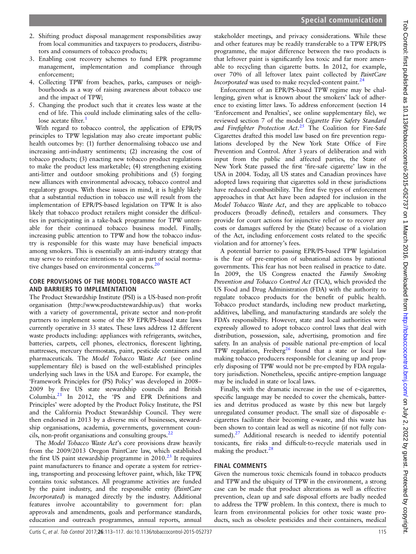- 2. Shifting product disposal management responsibilities away from local communities and taxpayers to producers, distributors and consumers of tobacco products;
- 3. Enabling cost recovery schemes to fund EPR programme management, implementation and compliance through enforcement;
- 4. Collecting TPW from beaches, parks, campuses or neighbourhoods as a way of raising awareness about tobacco use and the impact of TPW;
- 5. Changing the product such that it creates less waste at the end of life. This could include eliminating sales of the cellu-lose acetate filter.<sup>[1](#page-3-0)</sup>

With regard to tobacco control, the application of EPR/PS principles to TPW legislation may also create important public health outcomes by: (1) further denormalising tobacco use and increasing anti-industry sentiments; (2) increasing the cost of tobacco products; (3) enacting new tobacco product regulations to make the product less marketable; (4) strengthening existing anti-litter and outdoor smoking prohibitions and (5) forging new alliances with environmental advocacy, tobacco control and regulatory groups. With these issues in mind, it is highly likely that a substantial reduction in tobacco use will result from the implementation of EPR/PS-based legislation on TPW. It is also likely that tobacco product retailers might consider the difficulties in participating in a take-back programme for TPW untenable for their continued tobacco business model. Finally, increasing public attention to TPW and how the tobacco industry is responsible for this waste may have beneficial impacts among smokers. This is essentially an anti-industry strategy that may serve to reinforce intentions to quit as part of social normative changes based on environmental concerns.<sup>20</sup>

# CORE PROVISIONS OF THE MODEL TOBACCO WASTE ACT AND BARRIERS TO IMPLEMENTATION

The Product Stewardship Institute (PSI) is a US-based non-profit organisation ([http://www.productstewardship.us/\)](http://www.productstewardship.us/) that works with a variety of governmental, private sector and non-profit partners to implement some of the 89 EPR/PS-based state laws currently operative in 33 states. These laws address 12 different waste products including: appliances with refrigerants, switches, batteries, carpets, cell phones, electronics, florescent lighting, mattresses, mercury thermostats, paint, pesticide containers and pharmaceuticals. The Model Tobacco Waste Act (see [online](http://dx.doi.org/10.1136/tobaccocontrol-2015-052737) [supplementary](http://dx.doi.org/10.1136/tobaccocontrol-2015-052737) file) is based on the well-established principles underlying such laws in the USA and Europe. For example, the 'Framework Principles for (PS) Policy' was developed in 2008– 2009 by five US state stewardship councils and British Columbia.[21](#page-3-0) In 2012, the 'PS and EPR Definitions and Principles' were adopted by the Product Policy Institute, the PSI and the California Product Stewardship Council. They were then endorsed in 2013 by a diverse mix of businesses, stewardship organisations, academia, governments, government councils, non-profit organisations and consulting groups.<sup>22</sup>

The Model Tobacco Waste Act's core provisions draw heavily from the 2009/2013 Oregon PaintCare law, which established the first US paint stewardship programme in  $2010<sup>23</sup>$  $2010<sup>23</sup>$  $2010<sup>23</sup>$  It requires paint manufacturers to finance and operate a system for retrieving, transporting and processing leftover paint, which, like TPW, contains toxic substances. All programme activities are funded by the paint industry, and the responsible entity (PaintCare Incorporated) is managed directly by the industry. Additional features involve accountability to government for: plan approvals and amendments, goals and performance standards, education and outreach programmes, annual reports, annual

stakeholder meetings, and privacy considerations. While these and other features may be readily transferable to a TPW EPR/PS programme, the major difference between the two products is that leftover paint is significantly less toxic and far more amenable to recycling than cigarette butts. In 2012, for example, over 70% of all leftover latex paint collected by PaintCare Incorporated was used to make recycled-content paint.<sup>[24](#page-4-0)</sup>

Enforcement of an EPR/PS-based TPW regime may be challenging, given what is known about the smokers' lack of adherence to existing litter laws. To address enforcement (section 14 'Enforcement and Penalties', see [online supplementary](http://dx.doi.org/10.1136/tobaccocontrol-2015-052737) file), we reviewed section 7 of the model Cigarette Fire Safety Standard and Firefighter Protection Act.<sup>[25](#page-4-0)</sup> The Coalition for Fire-Safe Cigarettes drafted this model law based on fire prevention regulations developed by the New York State Office of Fire Prevention and Control. After 3 years of deliberation and with input from the public and affected parties, the State of New York State passed the first 'fire-safe cigarette' law in the USA in 2004. Today, all US states and Canadian provinces have adopted laws requiring that cigarettes sold in these jurisdictions have reduced combustibility. The first five types of enforcement approaches in that Act have been adapted for inclusion in the Model Tobacco Waste Act, and they are applicable to tobacco producers (broadly defined), retailers and consumers. They provide for court actions for injunctive relief or to recover any costs or damages suffered by the (State) because of a violation of the Act, including enforcement costs related to the specific violation and for attorney's fees.

A potential barrier to passing EPR/PS-based TPW legislation is the fear of pre-emption of subnational actions by national governments. This fear has not been realised in practice to date. In 2009, the US Congress enacted the Family Smoking Prevention and Tobacco Control Act (TCA), which provided the US Food and Drug Administration (FDA) with the authority to regulate tobacco products for the benefit of public health. Tobacco product standards, including new product marketing, additives, labelling, and manufacturing standards are solely the FDA's responsibility. However, state and local authorities were expressly allowed to adopt tobacco control laws that deal with distribution, possession, sale, advertising, promotion and fire safety. In an analysis of possible national pre-emption of local TPW regulation, Freiberg<sup>[26](#page-4-0)</sup> found that a state or local law making tobacco producers responsible for cleaning up and properly disposing of TPW would not be pre-empted by FDA regulatory jurisdiction. Nonetheless, specific antipre-emption language may be included in state or local laws.

Finally, with the dramatic increase in the use of e-cigarettes, specific language may be needed to cover the chemicals, batteries and detritus produced as waste by this new but largely unregulated consumer product. The small size of disposable ecigarettes facilitate their becoming e-waste, and this waste has been shown to contain lead as well as nicotine (if not fully consumed). $27$  Additional research is needed to identify potential toxicants, fire risks and difficult-to-recycle materials used in making the product. $<sup>2</sup>$ </sup>

# FINAL COMMENTS

Given the numerous toxic chemicals found in tobacco products and TPW and the ubiquity of TPW in the environment, a strong case can be made that product alterations as well as effective prevention, clean up and safe disposal efforts are badly needed to address the TPW problem. In this context, there is much to learn from environmental policies for other toxic waste products, such as obsolete pesticides and their containers, medical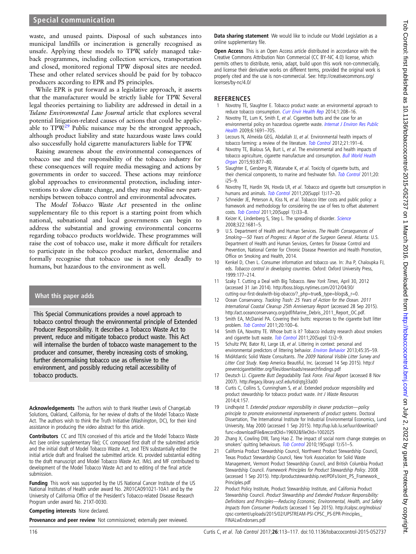# <span id="page-3-0"></span>Special communication

waste, and unused paints. Disposal of such substances into municipal landfills or incineration is generally recognised as unsafe. Applying these models to TPW, safely managed takeback programmes, including collection services, transportation and closed, monitored regional TPW disposal sites are needed. These and other related services should be paid for by tobacco producers according to EPR and PS principles.

While EPR is put forward as a legislative approach, it asserts that the manufacturer would be strictly liable for TPW. Several legal theories pertaining to liability are addressed in detail in a Tulane Environmental Law Journal article that explores several potential litigation-related causes of actions that could be applicable to  $TPW^{29}$  $TPW^{29}$  $TPW^{29}$  Public nuisance may be the strongest approach, although product liability and state hazardous waste laws could also successfully hold cigarette manufacturers liable for TPW.

Raising awareness about the environmental consequences of tobacco use and the responsibility of the tobacco industry for these consequences will require media messaging and actions by governments in order to succeed. These actions may reinforce global approaches to environmental protection, including interventions to slow climate change, and they may mobilise new partnerships between tobacco control and environmental advocates.

The Model Tobacco Waste Act presented in the [online](http://dx.doi.org/10.1136/tobaccocontrol-2015-052737) [supplementary](http://dx.doi.org/10.1136/tobaccocontrol-2015-052737) file to this report is a starting point from which national, subnational and local governments can begin to address the substantial and growing environmental concerns regarding tobacco products worldwide. These programmes will raise the cost of tobacco use, make it more difficult for retailers to participate in the tobacco product market, denormalise and formally recognise that tobacco use is not only deadly to humans, but hazardous to the environment as well.

#### What this paper adds

This Special Communications provides a novel approach to tobacco control through the environmental principle of Extended Producer Responsibility. It describes a Tobacco Waste Act to prevent, reduce and mitigate tobacco product waste. This Act will internalise the burden of tobacco waste management to the producer and consumer, thereby increasing costs of smoking, further denormalising tobacco use as offensive to the environment, and possibly reducing retail accessibility of tobacco products.

Acknowledgements The authors wish to thank Heather Lewis of ChangeLab Solutions, Oakland, California, for her review of drafts of the Model Tobacco Waste Act. The authors wish to think the Truth Initiative (Washington, DC), for their kind assistance in producing the video abstract for this article.

Contributors CC and TEN conceived of this article and the Model Tobacco Waste Act (see [online supplementary](http://dx.doi.org/10.1136/tobaccocontrol-2015-052737) file); CC composed first draft of the submitted article and the initial draft of Model Tobacco Waste Act, and TEN substantially edited the initial article draft and finalised the submitted article. KL provided substantial editing to the draft manuscript and Model Tobacco Waste Act. IMcL and MF contributed to development of the Model Tobacco Waste Act and to editing of the final article submission.

Funding This work was supported by the US National Cancer Institute of the US National Institutes of Health under award No. 2R01CA091021-10A1 and by the University of California Office of the President's Tobacco-related Disease Research Program under award No. 21XT-0030.

Competing interests None declared.

**Provenance and peer review** Not commissioned; externally peer reviewed.

Data sharing statement We would like to include our Model Legislation as a [online supplementary](http://dx.doi.org/10.1136/tobaccocontrol-2015-052737) file.

Open Access This is an Open Access article distributed in accordance with the Creative Commons Attribution Non Commercial (CC BY-NC 4.0) license, which permits others to distribute, remix, adapt, build upon this work non-commercially, and license their derivative works on different terms, provided the original work is properly cited and the use is non-commercial. See: [http://creativecommons.org/](http://creativecommons.org/licenses/by-nc/4.0/) [licenses/by-nc/4.0/](http://creativecommons.org/licenses/by-nc/4.0/)

#### **REFERENCES**

- 1 Novotny TE, Slaughter E. Tobacco product waste: an environmental approach to reduce tobacco consumption. [Curr Envir Health Rep](http://dx.doi.org/10.1007/s40572-014-0016-x) 2014;1:208-16.
- Novotny TE, Lum K, Smith E, et al. Cigarettes butts and the case for an environmental policy on hazardous cigarette waste. [Internat J Environ Res Public](http://dx.doi.org/10.3390/ijerph6051691) [Health](http://dx.doi.org/10.3390/ijerph6051691) 2009;6:1691–705.
- 3 Lecours N, Almeida GEG, Abdallah JJ, et al. Environmental health impacts of tobacco farming: a review of the literature. [Tob Control](http://dx.doi.org/10.1136/tobaccocontrol-2011-050318) 2012;21:191-6.
- 4 Novotny TE, Bialous SA, Burt L, et al. The environmental and health impacts of tobacco agriculture, cigarette manufacture and consumption. [Bull World Health](http://dx.doi.org/10.2471/BLT.15.152744) [Organ](http://dx.doi.org/10.2471/BLT.15.152744) 2015;93:877–80.
- Slaughter E, Gersberg R, Watanabe K, et al. Toxicity of cigarette butts, and their chemical components, to marine and freshwater fish. [Tob Control](http://dx.doi.org/10.1136/tc.2010.040170) 2011;20: i25–9.
- 6 Novotny TE, Hardin SN, Hovda LR, et al. Tobacco and cigarette butt consumption in humans and animals. [Tob Control](http://dx.doi.org/10.1136/tc.2011.043489) 2011;20(Suppl 1):i17-20.
- 7 Schneider JE, Peterson A, Kiss N, et al. Tobacco litter costs and public policy: a framework and methodology for considering the use of fees to offset abatement costs. [Tob Control](http://dx.doi.org/10.1136/tc.2010.041707) 2011;20(Suppl 1):i33–8.
- 8 Keizer K, Lindenberg S, Steg L. The spreading of disorder. [Science](http://dx.doi.org/10.1126/science.1161405) 2008;322:1681–5.
- U.S. Department of Health and Human Services. The Health Consequences of Smoking—50 Years of Progress: A Report of the Surgeon General. Atlanta: U.S. Department of Health and Human Services, Centers for Disease Control and Prevention, National Center for Chronic Disease Prevention and Health Promotion, Office on Smoking and Health, 2014.
- 10 Kenkel D, Chen L. Consumer information and tobacco use. In: Jha P, Chaloupka FJ, eds. Tobacco control in developing countries. Oxford: Oxford University Press, 1999:177–214.
- 11 Szaky T. Cutting a Deal with Big Tobacco. New York Times, April 30, 2012 (accessed 31 Jan 2014). [http://boss.blogs.nytimes.com/2012/04/30/](http://boss.blogs.nytimes.com/2012/04/30/cutting-our-first-dealwith-big-obacco/?_php=true&_type=blogs&_r=0) [cutting-our-](http://boss.blogs.nytimes.com/2012/04/30/cutting-our-first-dealwith-big-obacco/?_php=true&_type=blogs&_r=0)first-dealwith-big-obacco/? php=true& type=blogs& r=0.
- 12 Ocean Conservancy. Tracking Trash: 25 Years of Action for the Ocean. 2011 International Coastal Cleanup 25th Anniversary Report (accessed 28 Sep 2015). [http://act.oceanconservancy.org/pdf/Marine\\_Debris\\_2011\\_Report\\_OC.pdf.](http://act.oceanconservancy.org/pdf/Marine_Debris_2011_Report_OC.pdf)
- 13 Smith EA, McDaniel PA. Covering their butts: responses to the cigarette butt litter problem. [Tob Control](http://dx.doi.org/10.1136/tc.2010.036491) 2011;20:100–6.
- 14 Smith EA, Novotny TE. Whose butt is it? Tobacco industry research about smokers and cigarette butt waste. [Tob Control](http://dx.doi.org/10.1136/tc.2010.040105) 2011;20(Suppl 1):i2-9.
- 15 Schultz PW, Bator RJ, Large LB, et al. Littering in context: personal and environmental predictors of littering behavior. [Environ Behavior](http://dx.doi.org/10.1177/0013916511412179) 2013;45:35-59.
- 16 MidAtlantic Solid Waste Consultants. The 2009 National Visible Litter Survey and Litter Cost Study. Keep America Beautiful, Inc. (accessed 14 Sep 2015). [http://](http://preventcigarettelitter.org/files/downloads/researchfindings.pdf) [preventcigarettelitter.org/](http://preventcigarettelitter.org/files/downloads/researchfindings.pdf)files/downloads/researchfindings.pdf
- 17 Deutsch LJ. Cigarette Butt Degradability Task Force. Final Report (accessed 8 Nov 2007).<http://legacy.library.ucsf.edu/tid/qtg33a00>
- 18 Curtis C, Collins S, Cunningham S, et al. Extended producer responsibility and product stewardship for tobacco product waste. Int J Waste Resources 2014;4:157.
- 19 Lindhqvist T. Extended producer responsibility in cleaner production-policy principle to promote environmental improvements of product systems. Doctoral Dissertation, The International Institute for Industrial Environmental Economics, Lund University, May 2000 (accessed 1 Sep 2015). [http://lup.lub.lu.se/luur/download?](http://lup.lub.lu.se/luur/download?func=downloadFile&recordOId=19692&fileOId=1002025) [func=downloadFile&recordOId=19692&](http://lup.lub.lu.se/luur/download?func=downloadFile&recordOId=19692&fileOId=1002025)fileOId=1002025
- 20 Zhang X, Cowling DW, Tang Hao Z. The impact of social norm change strategies on smokers' quitting behaviours. [Tob Control](http://dx.doi.org/10.1136/tc.2008.029447) 2010;19(Suppl 1):i51-5.
- 21 California Product Stewardship Council, Northwest Product Stewardship Council, Texas Product Stewardship Council, New York Association for Solid Waste Management, Vermont Product Stewardship Council, and British Columbia Product Stewardship Council. Framework Principles for Product Stewardship Policy. 2008 (accessed 1 Sep 2015). [http://productstewardship.net/PDFs/Joint\\_PS\\_Framework\\_](http://productstewardship.net/PDFs/Joint_PS_Framework_Principles.pdf) [Principles.pdf](http://productstewardship.net/PDFs/Joint_PS_Framework_Principles.pdf)
- 22 Product Policy Institute, Product Stewardship Institute, and California Product Stewardship Council. Product Stewardship and Extended Producer Responsibility: Definitions and Principles—Reducing Economic, Environmental, Health, and Safety Impacts from Consumer Products (accessed 1 Sep 2015). [http://calpsc.org/mobius/](http://calpsc.org/mobius/cpsc-content/uploads/2015/02/UPSTREAM-PSI-CPSC_PS-EPR-Principles_FINALwEndorsers.pdf) [cpsc-content/uploads/2015/02/UPSTREAM-PSI-CPSC\\_PS-EPR-Principles\\_](http://calpsc.org/mobius/cpsc-content/uploads/2015/02/UPSTREAM-PSI-CPSC_PS-EPR-Principles_FINALwEndorsers.pdf) [FINALwEndorsers.pdf](http://calpsc.org/mobius/cpsc-content/uploads/2015/02/UPSTREAM-PSI-CPSC_PS-EPR-Principles_FINALwEndorsers.pdf)